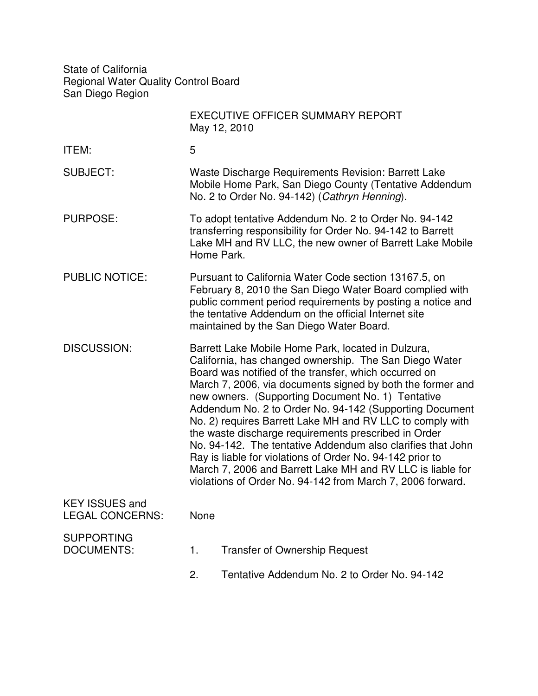State of California Regional Water Quality Control Board San Diego Region

|                                                 |                                                                                                                                                                                                                                                                                                                                                                                                                                                                                                                                                                                                                                                                                                                                  | <b>EXECUTIVE OFFICER SUMMARY REPORT</b><br>May 12, 2010 |
|-------------------------------------------------|----------------------------------------------------------------------------------------------------------------------------------------------------------------------------------------------------------------------------------------------------------------------------------------------------------------------------------------------------------------------------------------------------------------------------------------------------------------------------------------------------------------------------------------------------------------------------------------------------------------------------------------------------------------------------------------------------------------------------------|---------------------------------------------------------|
| ITEM:                                           | 5                                                                                                                                                                                                                                                                                                                                                                                                                                                                                                                                                                                                                                                                                                                                |                                                         |
| <b>SUBJECT:</b>                                 | Waste Discharge Requirements Revision: Barrett Lake<br>Mobile Home Park, San Diego County (Tentative Addendum<br>No. 2 to Order No. 94-142) (Cathryn Henning).                                                                                                                                                                                                                                                                                                                                                                                                                                                                                                                                                                   |                                                         |
| <b>PURPOSE:</b>                                 | To adopt tentative Addendum No. 2 to Order No. 94-142<br>transferring responsibility for Order No. 94-142 to Barrett<br>Lake MH and RV LLC, the new owner of Barrett Lake Mobile<br>Home Park.                                                                                                                                                                                                                                                                                                                                                                                                                                                                                                                                   |                                                         |
| <b>PUBLIC NOTICE:</b>                           | Pursuant to California Water Code section 13167.5, on<br>February 8, 2010 the San Diego Water Board complied with<br>public comment period requirements by posting a notice and<br>the tentative Addendum on the official Internet site<br>maintained by the San Diego Water Board.                                                                                                                                                                                                                                                                                                                                                                                                                                              |                                                         |
| <b>DISCUSSION:</b>                              | Barrett Lake Mobile Home Park, located in Dulzura,<br>California, has changed ownership. The San Diego Water<br>Board was notified of the transfer, which occurred on<br>March 7, 2006, via documents signed by both the former and<br>new owners. (Supporting Document No. 1) Tentative<br>Addendum No. 2 to Order No. 94-142 (Supporting Document<br>No. 2) requires Barrett Lake MH and RV LLC to comply with<br>the waste discharge requirements prescribed in Order<br>No. 94-142. The tentative Addendum also clarifies that John<br>Ray is liable for violations of Order No. 94-142 prior to<br>March 7, 2006 and Barrett Lake MH and RV LLC is liable for<br>violations of Order No. 94-142 from March 7, 2006 forward. |                                                         |
| <b>KEY ISSUES and</b><br><b>LEGAL CONCERNS:</b> | None                                                                                                                                                                                                                                                                                                                                                                                                                                                                                                                                                                                                                                                                                                                             |                                                         |
| <b>SUPPORTING</b><br><b>DOCUMENTS:</b>          | 1.                                                                                                                                                                                                                                                                                                                                                                                                                                                                                                                                                                                                                                                                                                                               | <b>Transfer of Ownership Request</b>                    |
|                                                 | 2.                                                                                                                                                                                                                                                                                                                                                                                                                                                                                                                                                                                                                                                                                                                               | Tentative Addendum No. 2 to Order No. 94-142            |